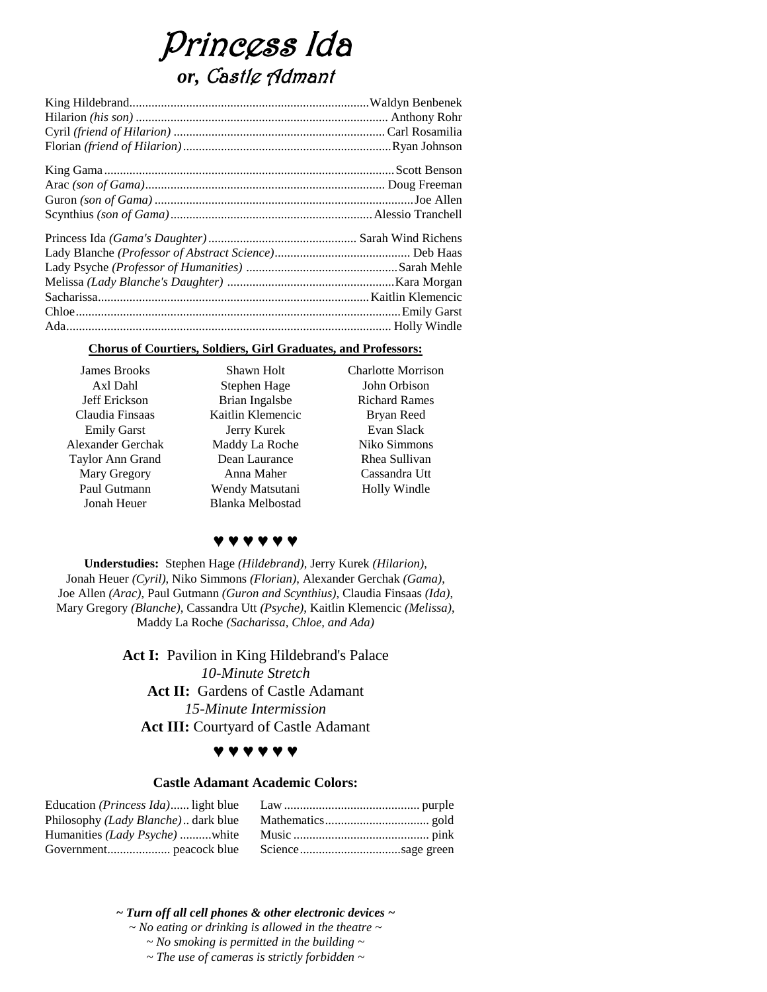# Princess Ida *or,* Castle Admant

## **Chorus of Courtiers, Soldiers, Girl Graduates, and Professors:**

| <b>James Brooks</b> | Shawn Holt        | <b>Charlotte Morrison</b> |
|---------------------|-------------------|---------------------------|
| Axl Dahl            | Stephen Hage      | John Orbison              |
| Jeff Erickson       | Brian Ingalsbe    | <b>Richard Rames</b>      |
| Claudia Finsaas     | Kaitlin Klemencic | Bryan Reed                |
| <b>Emily Garst</b>  | Jerry Kurek       | Evan Slack                |
| Alexander Gerchak   | Maddy La Roche    | Niko Simmons              |
| Taylor Ann Grand    | Dean Laurance     | Rhea Sullivan             |
| Mary Gregory        | Anna Maher        | Cassandra Utt             |
| Paul Gutmann        | Wendy Matsutani   | Holly Windle              |
| Jonah Heuer         | Blanka Melbostad  |                           |

# **♥ ♥ ♥ ♥ ♥ ♥**

**Understudies:** Stephen Hage *(Hildebrand)*, Jerry Kurek *(Hilarion)*, Jonah Heuer *(Cyril)*, Niko Simmons *(Florian)*, Alexander Gerchak *(Gama)*, Joe Allen *(Arac)*, Paul Gutmann *(Guron and Scynthius)*, Claudia Finsaas *(Ida)*, Mary Gregory *(Blanche)*, Cassandra Utt *(Psyche)*, Kaitlin Klemencic *(Melissa)*, Maddy La Roche *(Sacharissa, Chloe, and Ada)*

> Act I: Pavilion in King Hildebrand's Palace *10-Minute Stretch* Act II: Gardens of Castle Adamant *15-Minute Intermission* **Act III:** Courtyard of Castle Adamant

# **♥ ♥ ♥ ♥ ♥ ♥**

#### **Castle Adamant Academic Colors:**

*~ Turn off all cell phones & other electronic devices ~ ~ No eating or drinking is allowed in the theatre ~ ~ No smoking is permitted in the building ~ ~ The use of cameras is strictly forbidden ~*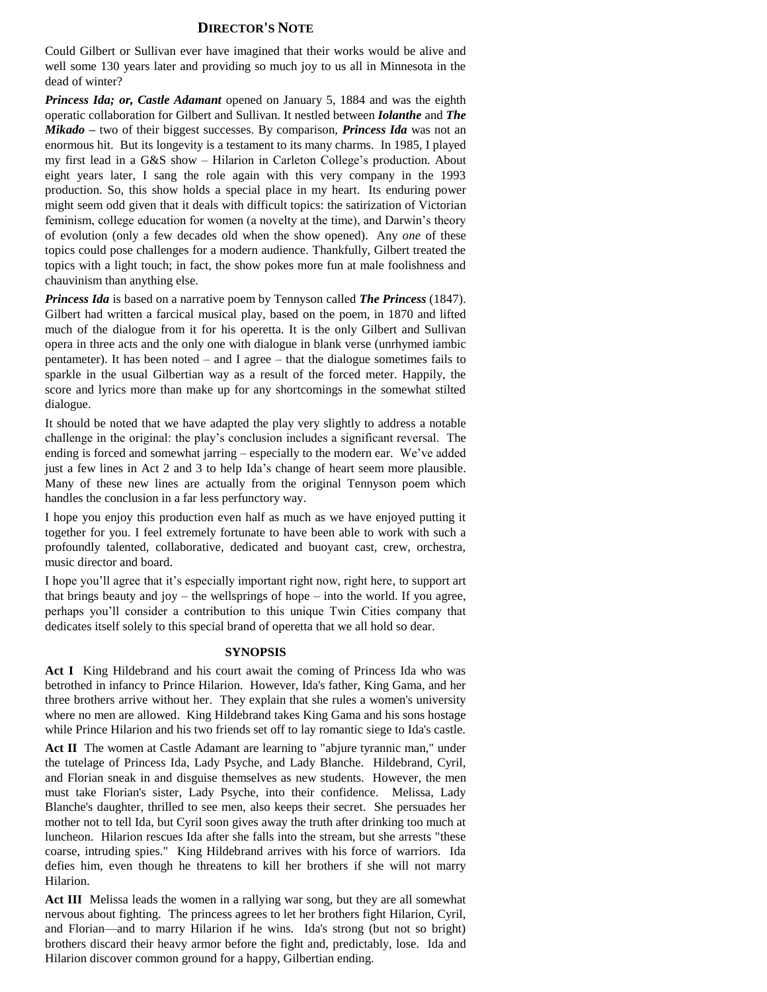## **DIRECTOR'S NOTE**

Could Gilbert or Sullivan ever have imagined that their works would be alive and well some 130 years later and providing so much joy to us all in Minnesota in the dead of winter?

*Princess Ida; or, Castle Adamant* opened on January 5, 1884 and was the eighth operatic collaboration for Gilbert and Sullivan. It nestled between *Iolanthe* and *The Mikado –* two of their biggest successes. By comparison, *Princess Ida* was not an enormous hit. But its longevity is a testament to its many charms. In 1985, I played my first lead in a G&S show – Hilarion in Carleton College's production. About eight years later, I sang the role again with this very company in the 1993 production. So, this show holds a special place in my heart. Its enduring power might seem odd given that it deals with difficult topics: the satirization of Victorian feminism, college education for women (a novelty at the time), and Darwin's theory of evolution (only a few decades old when the show opened). Any *one* of these topics could pose challenges for a modern audience. Thankfully, Gilbert treated the topics with a light touch; in fact, the show pokes more fun at male foolishness and chauvinism than anything else.

*Princess Ida* is based on a narrative poem by Tennyson called *The Princess* (1847). Gilbert had written a farcical musical play, based on the poem, in 1870 and lifted much of the dialogue from it for his operetta. It is the only Gilbert and Sullivan opera in three acts and the only one with dialogue in blank verse (unrhymed iambic pentameter). It has been noted – and I agree – that the dialogue sometimes fails to sparkle in the usual Gilbertian way as a result of the forced meter. Happily, the score and lyrics more than make up for any shortcomings in the somewhat stilted dialogue.

It should be noted that we have adapted the play very slightly to address a notable challenge in the original: the play's conclusion includes a significant reversal. The ending is forced and somewhat jarring – especially to the modern ear. We've added just a few lines in Act 2 and 3 to help Ida's change of heart seem more plausible. Many of these new lines are actually from the original Tennyson poem which handles the conclusion in a far less perfunctory way.

I hope you enjoy this production even half as much as we have enjoyed putting it together for you. I feel extremely fortunate to have been able to work with such a profoundly talented, collaborative, dedicated and buoyant cast, crew, orchestra, music director and board.

I hope you'll agree that it's especially important right now, right here, to support art that brings beauty and joy – the wellsprings of hope – into the world. If you agree, perhaps you'll consider a contribution to this unique Twin Cities company that dedicates itself solely to this special brand of operetta that we all hold so dear.

#### **SYNOPSIS**

**Act I** King Hildebrand and his court await the coming of Princess Ida who was betrothed in infancy to Prince Hilarion. However, Ida's father, King Gama, and her three brothers arrive without her. They explain that she rules a women's university where no men are allowed. King Hildebrand takes King Gama and his sons hostage while Prince Hilarion and his two friends set off to lay romantic siege to Ida's castle.

Act II The women at Castle Adamant are learning to "abjure tyrannic man," under the tutelage of Princess Ida, Lady Psyche, and Lady Blanche. Hildebrand, Cyril, and Florian sneak in and disguise themselves as new students. However, the men must take Florian's sister, Lady Psyche, into their confidence. Melissa, Lady Blanche's daughter, thrilled to see men, also keeps their secret. She persuades her mother not to tell Ida, but Cyril soon gives away the truth after drinking too much at luncheon. Hilarion rescues Ida after she falls into the stream, but she arrests "these coarse, intruding spies." King Hildebrand arrives with his force of warriors. Ida defies him, even though he threatens to kill her brothers if she will not marry Hilarion.

**Act III** Melissa leads the women in a rallying war song, but they are all somewhat nervous about fighting. The princess agrees to let her brothers fight Hilarion, Cyril, and Florian—and to marry Hilarion if he wins. Ida's strong (but not so bright) brothers discard their heavy armor before the fight and, predictably, lose. Ida and Hilarion discover common ground for a happy, Gilbertian ending.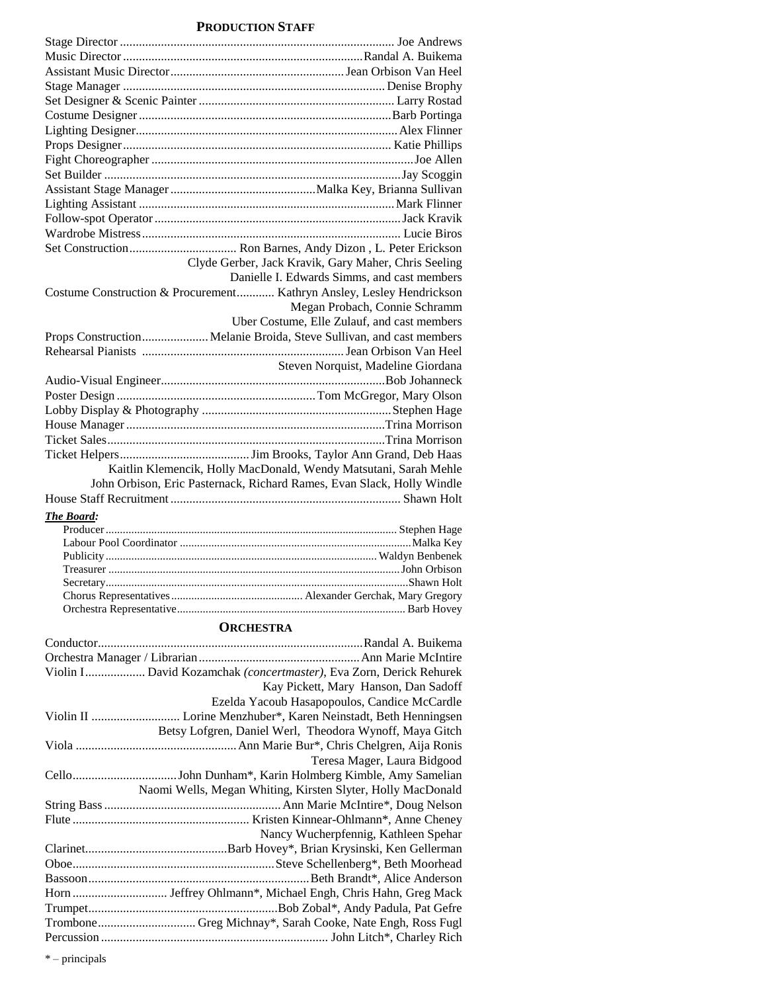# **PRODUCTION STAFF**

|            | Clyde Gerber, Jack Kravik, Gary Maher, Chris Seeling                   |
|------------|------------------------------------------------------------------------|
|            | Danielle I. Edwards Simms, and cast members                            |
|            | Costume Construction & Procurement Kathryn Ansley, Lesley Hendrickson  |
|            | Megan Probach, Connie Schramm                                          |
|            | Uber Costume, Elle Zulauf, and cast members                            |
|            | Props Construction Melanie Broida, Steve Sullivan, and cast members    |
|            |                                                                        |
|            | Steven Norquist, Madeline Giordana                                     |
|            |                                                                        |
|            |                                                                        |
|            |                                                                        |
|            |                                                                        |
|            |                                                                        |
|            |                                                                        |
|            | Kaitlin Klemencik, Holly MacDonald, Wendy Matsutani, Sarah Mehle       |
|            | John Orbison, Eric Pasternack, Richard Rames, Evan Slack, Holly Windle |
|            |                                                                        |
| The Board: |                                                                        |
|            |                                                                        |
|            |                                                                        |
|            |                                                                        |
|            |                                                                        |
|            |                                                                        |
|            |                                                                        |

# **ORCHESTRA**

Orchestra Representative................................................................................ Barb Hovey

| Violin I David Kozamchak (concertmaster), Eva Zorn, Derick Rehurek |                                              |
|--------------------------------------------------------------------|----------------------------------------------|
|                                                                    | Kay Pickett, Mary Hanson, Dan Sadoff         |
|                                                                    | Ezelda Yacoub Hasapopoulos, Candice McCardle |
|                                                                    |                                              |
| Betsy Lofgren, Daniel Werl, Theodora Wynoff, Maya Gitch            |                                              |
|                                                                    |                                              |
|                                                                    | Teresa Mager, Laura Bidgood                  |
|                                                                    |                                              |
| Naomi Wells, Megan Whiting, Kirsten Slyter, Holly MacDonald        |                                              |
|                                                                    |                                              |
|                                                                    |                                              |
|                                                                    | Nancy Wucherpfennig, Kathleen Spehar         |
|                                                                    |                                              |
|                                                                    |                                              |
|                                                                    |                                              |
|                                                                    |                                              |
|                                                                    |                                              |
|                                                                    |                                              |
|                                                                    |                                              |

\* – principals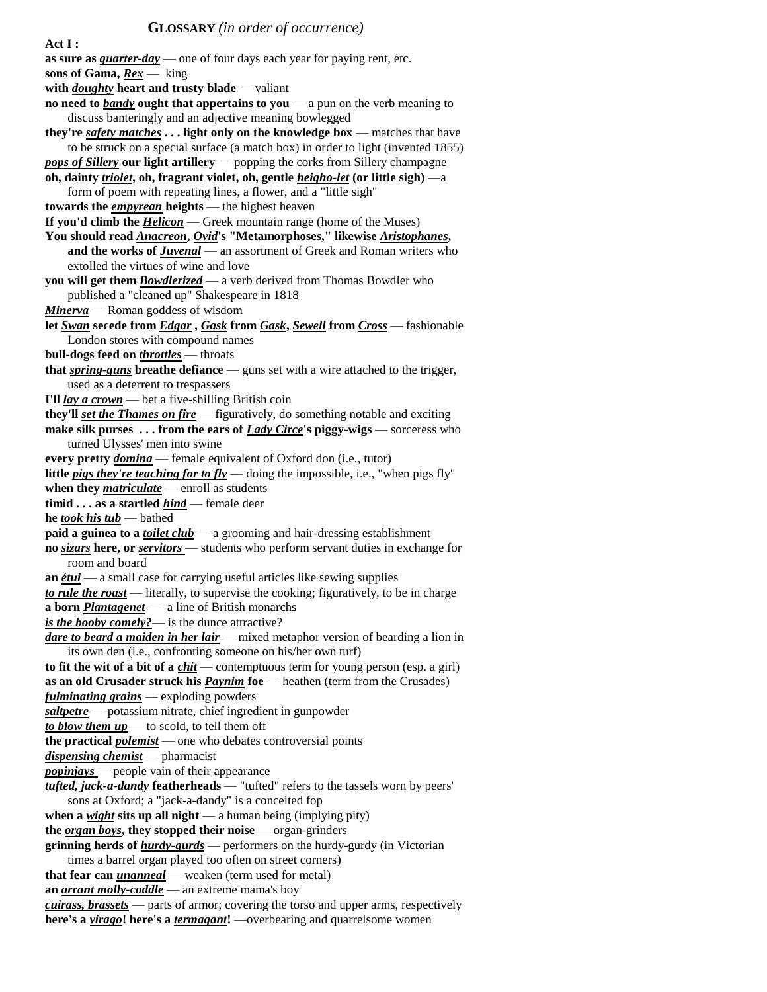**Act I :**

**as sure as** *quarter-day* — one of four days each year for paying rent, etc. **sons of Gama,** *Rex* — king **with** *doughty* **heart and trusty blade** — valiant **no need to** *bandy* **ought that appertains to you** — a pun on the verb meaning to discuss banteringly and an adjective meaning bowlegged **they're** *safety matches* **. . . light only on the knowledge box** — matches that have to be struck on a special surface (a match box) in order to light (invented 1855) *pops of Sillery* **our light artillery** — popping the corks from Sillery champagne **oh, dainty** *triolet***, oh, fragrant violet, oh, gentle** *heigho-let* **(or little sigh)** —a form of poem with repeating lines, a flower, and a "little sigh" **towards the** *empyrean* **heights** — the highest heaven **If you'd climb the** *Helicon* — Greek mountain range (home of the Muses) **You should read** *Anacreon***,** *Ovid***'s "Metamorphoses," likewise** *Aristophanes***, and the works of** *Juvenal* — an assortment of Greek and Roman writers who extolled the virtues of wine and love **you will get them** *Bowdlerized* — a verb derived from Thomas Bowdler who published a "cleaned up" Shakespeare in 1818 *Minerva* — Roman goddess of wisdom **let** *Swan* **secede from** *Edgar* **,** *Gask* **from** *Gask***,** *Sewell* **from** *Cross* — fashionable London stores with compound names **bull-dogs feed on** *throttles* — throats **that** *spring-guns* **breathe defiance** — guns set with a wire attached to the trigger, used as a deterrent to trespassers **I'll** *lay a crown* — bet a five-shilling British coin **they'll** *set the Thames on fire* — figuratively, do something notable and exciting **make silk purses . . . from the ears of** *Lady Circe***'s piggy-wigs** — sorceress who turned Ulysses' men into swine **every pretty** *domina* — female equivalent of Oxford don (i.e., tutor) **little** *pigs they're teaching for to fly* — doing the impossible, i.e., "when pigs fly" **when they** *matriculate* — enroll as students **timid . . . as a startled** *hind* — female deer **he** *took his tub* — bathed **paid a guinea to a** *toilet club* — a grooming and hair-dressing establishment **no** *sizars* **here, or** *servitors* — students who perform servant duties in exchange for room and board **an** *étui* — a small case for carrying useful articles like sewing supplies *to rule the roast* — literally, to supervise the cooking; figuratively, to be in charge **a born** *Plantagenet* — a line of British monarchs *is the booby comely?*— is the dunce attractive? *dare to beard a maiden in her lair* — mixed metaphor version of bearding a lion in its own den (i.e., confronting someone on his/her own turf) **to fit the wit of a bit of a** *chit* — contemptuous term for young person (esp. a girl) **as an old Crusader struck his** *Paynim* **foe** — heathen (term from the Crusades) *fulminating grains* — exploding powders *saltpetre* — potassium nitrate, chief ingredient in gunpowder *to blow them*  $up$  — to scold, to tell them off **the practical** *polemist* — one who debates controversial points *dispensing chemist* — pharmacist *popinjays* — people vain of their appearance *tufted, jack-a-dandy* **featherheads** — "tufted" refers to the tassels worn by peers' sons at Oxford; a "jack-a-dandy" is a conceited fop **when a** *wight* **sits up all night** — a human being (implying pity) **the** *organ boys***, they stopped their noise** — organ-grinders **grinning herds of** *hurdy-gurds* — performers on the hurdy-gurdy (in Victorian times a barrel organ played too often on street corners) **that fear can** *unanneal* — weaken (term used for metal) **an** *arrant molly-coddle* — an extreme mama's boy *cuirass, brassets* — parts of armor; covering the torso and upper arms, respectively **here's a** *virago***! here's a** *termagant***!** —overbearing and quarrelsome women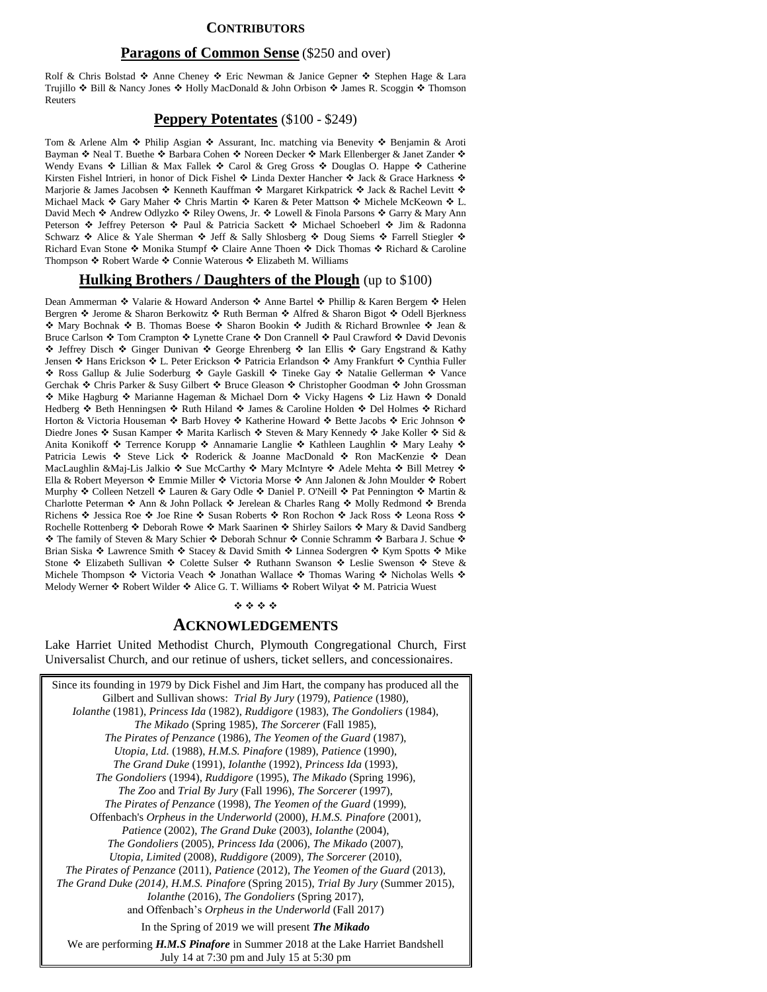## **CONTRIBUTORS**

#### **Paragons of Common Sense** (\$250 and over)

Rolf & Chris Bolstad  $\triangle$  Anne Cheney  $\triangle$  Eric Newman & Janice Gepner  $\triangle$  Stephen Hage & Lara Trujillo  $\div$  Bill & Nancy Jones  $\div$  Holly MacDonald & John Orbison  $\div$  James R. Scoggin  $\div$  Thomson Reuters

## **Peppery Potentates** (\$100 - \$249)

Tom & Arlene Alm ❖ Philip Asgian ❖ Assurant, Inc. matching via Benevity ❖ Benjamin & Aroti Bayman Neal T. Buethe Barbara Cohen Noreen Decker Mark Ellenberger & Janet Zander Wendy Evans  $\triangle$  Lillian & Max Fallek  $\triangle$  Carol & Greg Gross  $\triangle$  Douglas O. Happe  $\triangle$  Catherine Kirsten Fishel Intrieri, in honor of Dick Fishel  $\div$  Linda Dexter Hancher  $\div$  Jack & Grace Harkness  $\div$ Marjorie & James Jacobsen ❖ Kenneth Kauffman ❖ Margaret Kirkpatrick ❖ Jack & Rachel Levitt ❖ Michael Mack Gary Maher \* Chris Martin \* Karen & Peter Mattson \* Michele McKeown \* L. David Mech ❖ Andrew Odlyzko ❖ Riley Owens, Jr. ❖ Lowell & Finola Parsons ❖ Garry & Mary Ann Peterson  $\div$  Jeffrey Peterson  $\div$  Paul & Patricia Sackett  $\div$  Michael Schoeberl  $\div$  Jim & Radonna Schwarz  $\cdot$  Alice & Yale Sherman  $\cdot$  Jeff & Sally Shlosberg  $\cdot$  Doug Siems  $\cdot$  Farrell Stiegler  $\cdot$ Richard Evan Stone ❖ Monika Stumpf ❖ Claire Anne Thoen ❖ Dick Thomas ❖ Richard & Caroline Thompson ❖ Robert Warde ❖ Connie Waterous ❖ Elizabeth M. Williams

#### **Hulking Brothers / Daughters of the Plough** (up to \$100)

Dean Ammerman ❖ Valarie & Howard Anderson ❖ Anne Bartel ❖ Phillip & Karen Bergem ❖ Helen Bergren ❖ Jerome & Sharon Berkowitz ❖ Ruth Berman ❖ Alfred & Sharon Bigot ❖ Odell Bjerkness ◆ Mary Bochnak ◆ B. Thomas Boese ◆ Sharon Bookin ◆ Judith & Richard Brownlee ◆ Jean & Bruce Carlson ❖ Tom Crampton ❖ Lynette Crane ❖ Don Crannell ❖ Paul Crawford ❖ David Devonis ◆ Jeffrey Disch ◆ Ginger Dunivan ◆ George Ehrenberg ◆ Ian Ellis ◆ Gary Engstrand & Kathy Jensen ❖ Hans Erickson ❖ L. Peter Erickson ❖ Patricia Erlandson ❖ Amy Frankfurt ❖ Cynthia Fuller ◆ Ross Gallup & Julie Soderburg ◆ Gayle Gaskill ◆ Tineke Gay ◆ Natalie Gellerman ◆ Vance Gerchak ❖ Chris Parker & Susy Gilbert ❖ Bruce Gleason ❖ Christopher Goodman ❖ John Grossman ◆ Mike Hagburg ◆ Marianne Hageman & Michael Dorn ◆ Vicky Hagens ◆ Liz Hawn ◆ Donald Hedberg  $\cdot$  Beth Henningsen  $\cdot$  Ruth Hiland  $\cdot$  James & Caroline Holden  $\cdot$  Del Holmes  $\cdot$  Richard Horton & Victoria Houseman ❖ Barb Hovey ❖ Katherine Howard ❖ Bette Jacobs ❖ Eric Johnson ❖ Diedre Jones ❖ Susan Kamper ❖ Marita Karlisch ❖ Steven & Mary Kennedy ❖ Jake Koller ❖ Sid & Anita Konikoff � Terrence Korupp � Annamarie Langlie � Kathleen Laughlin � Mary Leahy � Patricia Lewis ❖ Steve Lick ❖ Roderick & Joanne MacDonald ❖ Ron MacKenzie ❖ Dean MacLaughlin &Maj-Lis Jalkio ❖ Sue McCarthy ❖ Mary McIntyre ❖ Adele Mehta ❖ Bill Metrey ❖ Ella & Robert Meyerson Emmie Miller Victoria Morse Ann Jalonen & John Moulder Robert Murphy  $\div$  Colleen Netzell  $\div$  Lauren & Gary Odle  $\div$  Daniel P. O'Neill  $\div$  Pat Pennington  $\div$  Martin & Charlotte Peterman ❖ Ann & John Pollack ❖ Jerelean & Charles Rang ❖ Molly Redmond ❖ Brenda Richens ❖ Jessica Roe ❖ Joe Rine ❖ Susan Roberts ❖ Ron Rochon ❖ Jack Ross ❖ Leona Ross ❖ Rochelle Rottenberg ❖ Deborah Rowe ❖ Mark Saarinen ❖ Shirley Sailors ❖ Mary & David Sandberg \* The family of Steven & Mary Schier \* Deborah Schnur \* Connie Schramm \* Barbara J. Schue \* Brian Siska ❖ Lawrence Smith ❖ Stacey & David Smith ❖ Linnea Sodergren ❖ Kym Spotts ❖ Mike Stone ❖ Elizabeth Sullivan ❖ Colette Sulser ❖ Ruthann Swanson ❖ Leslie Swenson ❖ Steve & Michele Thompson  $\cdot$  Victoria Veach  $\cdot$  Jonathan Wallace  $\cdot$  Thomas Waring  $\cdot$  Nicholas Wells  $\cdot$ Melody Werner  $\cdot$  Robert Wilder  $\cdot$  Alice G. T. Williams  $\cdot$  Robert Wilyat  $\cdot$  M. Patricia Wuest

#### \*\*\*\*

# **ACKNOWLEDGEMENTS**

Lake Harriet United Methodist Church, Plymouth Congregational Church, First Universalist Church, and our retinue of ushers, ticket sellers, and concessionaires.

Since its founding in 1979 by Dick Fishel and Jim Hart, the company has produced all the Gilbert and Sullivan shows: *Trial By Jury* (1979), *Patience* (1980), *Iolanthe* (1981), *Princess Ida* (1982), *Ruddigore* (1983), *The Gondoliers* (1984), *The Mikado* (Spring 1985), *The Sorcerer* (Fall 1985), *The Pirates of Penzance* (1986), *The Yeomen of the Guard* (1987), *Utopia, Ltd.* (1988), *H.M.S. Pinafore* (1989), *Patience* (1990), *The Grand Duke* (1991), *Iolanthe* (1992), *Princess Ida* (1993), *The Gondoliers* (1994), *Ruddigore* (1995), *The Mikado* (Spring 1996), *The Zoo* and *Trial By Jury* (Fall 1996), *The Sorcerer* (1997), *The Pirates of Penzance* (1998), *The Yeomen of the Guard* (1999), Offenbach's *Orpheus in the Underworld* (2000), *H.M.S. Pinafore* (2001), *Patience* (2002), *The Grand Duke* (2003), *Iolanthe* (2004), *The Gondoliers* (2005), *Princess Ida* (2006), *The Mikado* (2007), *Utopia, Limited* (2008), *Ruddigore* (2009), *The Sorcerer* (2010), *The Pirates of Penzance* (2011), *Patience* (2012), *The Yeomen of the Guard* (2013), *The Grand Duke (2014), H.M.S. Pinafore* (Spring 2015), *Trial By Jury* (Summer 2015), *Iolanthe* (2016), *The Gondoliers* (Spring 2017), and Offenbach's *Orpheus in the Underworld* (Fall 2017) In the Spring of 2019 we will present *The Mikado* We are performing *H.M.S Pinafore* in Summer 2018 at the Lake Harriet Bandshell July 14 at 7:30 pm and July 15 at 5:30 pm